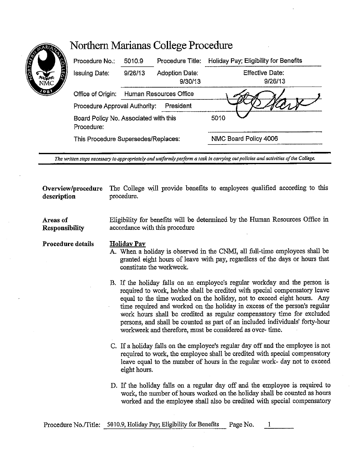| <b>PARTICIPALE</b><br>è<br>1981 | Procedure No.:                                      | 5010.9                 | Procedure Title:          | Holiday Pay; Eligibility for Benefits |
|---------------------------------|-----------------------------------------------------|------------------------|---------------------------|---------------------------------------|
|                                 | Issuing Date:                                       | 9/26/13                | Adoption Date:<br>9/30/13 | Effective Date:<br>9/26/13            |
|                                 | Office of Origin:                                   | Human Resources Office |                           |                                       |
|                                 | President<br>Procedure Approval Authority:          |                        |                           |                                       |
|                                 | Board Policy No. Associated with this<br>Procedure: |                        |                           | 5010                                  |
|                                 | This Procedure Supersedes/Replaces:                 |                        |                           | NMC Board Policy 4006                 |
|                                 |                                                     |                        |                           |                                       |

Northern Marianas College Procedure

The written steps necessary to appropriately and uniformly perform a task in carrying out policies and activities of the College.

**Overview/procedure** The College will provide benefits to employees qualified according to this **description** procedure.

**Responsibility**  Eligibility for benefits will be determined by the Human Resources Office in accordance with this procedure

## **Procedure details Holiday Pay**

**Areas of** 

- A. When a holiday is observed in the CNMI, all full-time employees shall be granted eight hours of leave with pay, regardless of the days or hours that constitute the workweek.
- B. If the holiday falls on an employee's regular workday and the person is required to work, he/she shall be credited with special compensatory leave equal to the time worked on the holiday, not to exceed eight hours. Any time required and worked on the holiday in excess of the person's regular work hours shall be credited as regular compensatory time for excluded persons, and shall be counted as part of an included individuals' forty-hour workweek and therefore, must be considered as over- time.
- C. If a holiday falls on the employee's regular day off and the employee is not required to work, the employee shall be credited with special compensatory leave equal to the number of hours in the regular work- day not to exceed eight hours.
- D. If the holiday falls on a regular day off and the employee is required to work, the number of hours worked on the holiday shall be counted as hours worked and the employee shall also be credited with special compensatory

Procedure No./Title: 5010.9, Holiday Pay; Eligibility for Benefits Page No.  $\mathbf{1}$